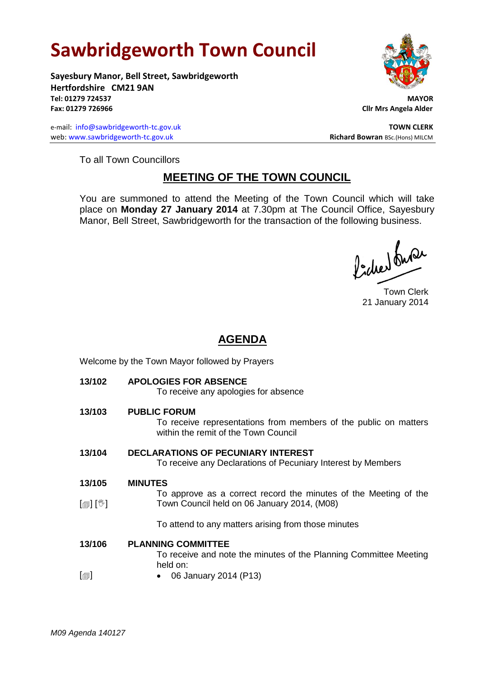## **Sawbridgeworth Town Council**

**Sayesbury Manor, Bell Street, Sawbridgeworth Hertfordshire CM21 9AN Tel: 01279 724537 MAYOR Fax: 01279 726966 Cllr Mrs Angela Alder**

e-mail: [info@sawbridgeworth-tc.gov.uk](mailto:info@sawbridgeworth-tc.gov.uk) **TOWN CLERK TOWN CLERK** web: www.sawbridgeworth-tc.gov.uk **Richard Bowran** BSc.(Hons) MILCM



To all Town Councillors

## **MEETING OF THE TOWN COUNCIL**

You are summoned to attend the Meeting of the Town Council which will take place on **Monday 27 January 2014** at 7.30pm at The Council Office, Sayesbury Manor, Bell Street, Sawbridgeworth for the transaction of the following business.

Picked buran

Town Clerk 21 January 2014

## **AGENDA**

| 13/102                     | <b>APOLOGIES FOR ABSENCE</b><br>To receive any apologies for absence                                                            |
|----------------------------|---------------------------------------------------------------------------------------------------------------------------------|
| 13/103                     | <b>PUBLIC FORUM</b><br>To receive representations from members of the public on matters<br>within the remit of the Town Council |
| 13/104                     | <b>DECLARATIONS OF PECUNIARY INTEREST</b><br>To receive any Declarations of Pecuniary Interest by Members                       |
| 13/105                     | <b>MINUTES</b>                                                                                                                  |
|                            | To approve as a correct record the minutes of the Meeting of the                                                                |
| $\mathbb{D}[\mathbb{D}^1]$ | Town Council held on 06 January 2014, (M08)                                                                                     |
|                            | To attend to any matters arising from those minutes                                                                             |
| 13/106                     | <b>PLANNING COMMITTEE</b>                                                                                                       |
|                            | To receive and note the minutes of the Planning Committee Meeting<br>held on:                                                   |
|                            |                                                                                                                                 |

 $\lbrack \blacksquare \rbrack$ 06 January 2014 (P13)

Welcome by the Town Mayor followed by Prayers